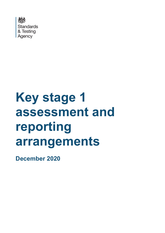

# **Key stage 1 assessment and reporting arrangements**

**December 2020**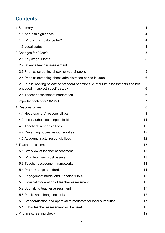# **Contents**

| 1 Summary                                                                                                             | 4  |
|-----------------------------------------------------------------------------------------------------------------------|----|
| 1.1 About this guidance                                                                                               | 4  |
| 1.2 Who is this guidance for?                                                                                         | 4  |
| 1.3 Legal status                                                                                                      | 4  |
| 2 Changes for 2020/21                                                                                                 | 5  |
| 2.1 Key stage 1 tests                                                                                                 | 5  |
| 2.2 Science teacher assessment                                                                                        | 5  |
| 2.3 Phonics screening check for year 2 pupils                                                                         | 5  |
| 2.4 Phonics screening check administration period in June                                                             | 6  |
| 2.5 Pupils working below the standard of national curriculum assessments and not<br>engaged in subject-specific study | 6  |
| 2.6 Teacher assessment moderation                                                                                     | 6  |
| 3 Important dates for 2020/21                                                                                         | 7  |
| 4 Responsibilities                                                                                                    | 8  |
| 4.1 Headteachers' responsibilities                                                                                    | 8  |
| 4.2 Local authorities' responsibilities                                                                               | 11 |
| 4.3 Teachers' responsibilities                                                                                        | 12 |
| 4.4 Governing bodies' responsibilities                                                                                | 12 |
| 4.5 Academy trusts' responsibilities                                                                                  | 12 |
| 5 Teacher assessment                                                                                                  | 13 |
| 5.1 Overview of teacher assessment                                                                                    | 13 |
| 5.2 What teachers must assess                                                                                         | 13 |
| 5.3 Teacher assessment frameworks                                                                                     | 14 |
| 5.4 Pre-key stage standards                                                                                           | 14 |
| 5.5 Engagement model and P scales 1 to 4                                                                              | 15 |
| 5.6 External moderation of teacher assessment                                                                         | 15 |
| 5.7 Submitting teacher assessment                                                                                     | 17 |
| 5.8 Pupils who change schools                                                                                         | 17 |
| 5.9 Standardisation and approval to moderate for local authorities                                                    | 17 |
| 5.10 How teacher assessment will be used                                                                              | 18 |
| 6 Phonics screening check                                                                                             | 19 |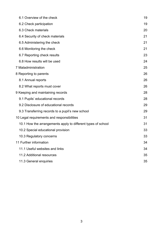| 6.1 Overview of the check                                    |    |
|--------------------------------------------------------------|----|
| 6.2 Check participation                                      | 19 |
| 6.3 Check materials                                          | 20 |
| 6.4 Security of check materials                              | 21 |
| 6.5 Administering the check                                  | 21 |
| 6.6 Monitoring the check                                     | 21 |
| 6.7 Reporting check results                                  | 23 |
| 6.8 How results will be used                                 | 24 |
| 7 Maladministration                                          | 25 |
| 8 Reporting to parents                                       | 26 |
| 8.1 Annual reports                                           | 26 |
| 8.2 What reports must cover                                  | 26 |
| 9 Keeping and maintaining records                            | 28 |
| 9.1 Pupils' educational records                              | 28 |
| 9.2 Disclosure of educational records                        | 29 |
| 9.3 Transferring records to a pupil's new school             | 29 |
| 10 Legal requirements and responsibilities                   | 31 |
| 10.1 How the arrangements apply to different types of school | 31 |
| 10.2 Special educational provision                           | 33 |
| 10.3 Regulatory concerns                                     | 33 |
| 11 Further information                                       | 34 |
| 11.1 Useful websites and links                               | 34 |
| 11.2 Additional resources                                    | 35 |
| 11.3 General enquiries                                       | 35 |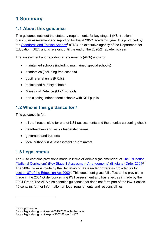# <span id="page-3-0"></span>**1 Summary**

## <span id="page-3-1"></span>**1.1 About this guidance**

This guidance sets out the statutory requirements for key stage 1 (KS1) national curriculum assessment and reporting for the 2020/21 academic year. It is produced by the [Standards and Testing Agency](https://www.gov.uk/government/organisations/standards-and-testing-agency)<sup>[1](#page-3-4)</sup> (STA), an executive agency of the Department for Education (DfE), and is relevant until the end of the 2020/21 academic year.

The assessment and reporting arrangements (ARA) apply to:

- maintained schools (including maintained special schools)
- academies (including free schools)
- pupil referral units (PRUs)
- maintained nursery schools
- Ministry of Defence (MoD) schools
- participating independent schools with KS1 pupils

## <span id="page-3-2"></span>**1.2 Who is this guidance for?**

This guidance is for:

- all staff responsible for end of KS1 assessments and the phonics screening check
- headteachers and senior leadership teams
- governors and trustees
- local authority (LA) assessment co-ordinators

## <span id="page-3-3"></span>**1.3 Legal status**

The ARA contains provisions made in terms of Article 9 (as amended) of [The Education](http://www.legislation.gov.uk/uksi/2004/2783/contents/made)  [\(National Curriculum\) \(Key Stage 1 Assessment Arrangements\) \(England\) Order 2004](http://www.legislation.gov.uk/uksi/2004/2783/contents/made)[2.](#page-3-5) The 2004 Order is made by the Secretary of State under powers as provided for by [section 87 of the Education Act 2002](http://www.legislation.gov.uk/ukpga/2002/32/section/87)<sup>[3](#page-3-6)</sup>. This document gives full effect to the provisions made in the 2004 Order concerning KS1 assessment and has effect as if made by the 2004 Order. The ARA also contains guidance that does not form part of the law. Section 10 contains further information on legal requirements and responsibilities.

<span id="page-3-4"></span><sup>1</sup> www.gov.uk/sta

<span id="page-3-5"></span><sup>2</sup> www.legislation.gov.uk/uksi/2004/2783/contents/made

<span id="page-3-6"></span><sup>3</sup> www.legislation.gov.uk/ukpga/2002/32/section/87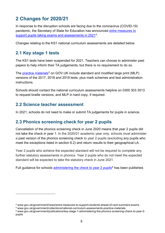# <span id="page-4-0"></span>**2 Changes for 2020/21**

In response to the disruption schools are facing due to the coronavirus (COVID-19) pandemic, the Secretary of State for Education has announced [extra measures to](https://www.gov.uk/government/news/extra-measures-to-support-students-ahead-of-next-summers-exams)  support pupils taking [exams and assessments in 2021](https://www.gov.uk/government/news/extra-measures-to-support-students-ahead-of-next-summers-exams)[4.](#page-4-4)

Changes relating to the KS1 national curriculum assessments are detailed below.

### <span id="page-4-1"></span>**2.1 Key stage 1 tests**

The KS1 tests have been suspended for 2021. Teachers can choose to administer past papers to help inform their TA judgements, but there is no requirement to do so.

The [practice materials](http://www.gov.uk/government/collections/national-curriculum-assessments-practice-materials)<sup>[5](#page-4-5)</sup> on GOV.UK include standard and modified large print (MLP) versions of the 2017, 2018 and 2019 tests, plus mark schemes and test administration instructions.

Schools should contact the national curriculum assessments helpline on 0300 303 3013 to request braille versions, and MLP in hard copy, if required.

#### <span id="page-4-2"></span>**2.2 Science teacher assessment**

In 2021, schools do not need to make or submit TA judgements for pupils in science.

## <span id="page-4-3"></span>**2.3 Phonics screening check for year 2 pupils**

Cancellation of the phonics screening check in June 2020 means that year 2 pupils did not take the check in year 1. In the 2020/21 academic year only, schools must administer a past version of the phonics screening check to year 2 pupils (excluding any pupils who meet the exceptions listed in section 6.2) and return results to their geographical LA.

Year 2 pupils who achieve the expected standard will not be required to complete any further statutory assessments in phonics. Year 2 pupils who do not meet the expected standard will be expected to take the statutory check in June 2021.

Full guidance for schools [administering the check to year 2 pupils](https://www.gov.uk/government/publications/key-stage-1-administering-the-phonics-screening-check-to-year-2-pupils)<sup>[6](#page-4-6)</sup> has been published.

<span id="page-4-4"></span><sup>4</sup> www.gov.uk/government/news/extra-measures-to-support-students-ahead-of-next-summers-exams

<span id="page-4-5"></span><sup>5</sup> www.gov.uk/government/collections/national-curriculum-assessments-practice-materials

<span id="page-4-6"></span><sup>6</sup> www.gov.uk/government/publications/key-stage-1-administering-the-phonics-screening-check-to-year-2 pupils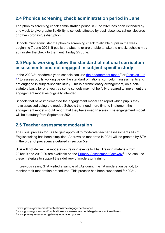## <span id="page-5-0"></span>**2.4 Phonics screening check administration period in June**

The phonics screening check administration period in June 2021 has been extended by one week to give greater flexibility to schools affected by pupil absence, school closures or other coronavirus disruption.

Schools must administer the phonics screening check to eligible pupils in the week beginning 7 June 2021. If pupils are absent, or are unable to take the check, schools may administer the check to them until Friday 25 June.

### <span id="page-5-1"></span>**2.5 Pupils working below the standard of national curriculum assessments and not engaged in subject-specific study**

In the 2020/21 academic year, schools can use [the engagement model](http://www.gov.uk/government/publications/the-engagement-model)<sup>[7](#page-5-3)</sup> or  $P$  scales 1 to  $4<sup>8</sup>$  $4<sup>8</sup>$  $4<sup>8</sup>$  $4<sup>8</sup>$  to assess pupils working below the standard of national curriculum assessments and not engaged in subject-specific study. This is a transitionary arrangement, on a nonstatutory basis for one year, as some schools may not be fully prepared to implement the engagement model as originally intended.

Schools that have implemented the engagement model can report which pupils they have assessed using the model. Schools that need more time to implement the engagement model should report that they have used P scales. The engagement model will be statutory from September 2021.

## <span id="page-5-2"></span>**2.6 Teacher assessment moderation**

The usual process for LAs to gain approval to moderate teacher assessment (TA) of English writing has been simplified. Approval to moderate in 2021 will be granted by STA in the order of precedence detailed in section 5.9.

STA will not deliver TA moderation training events to LAs. Training materials from 2018/19 and 2019/20 are available on the [Primary Assessment Gateway](https://www.primaryassessmentgateway.education.gov.uk/)<sup>[9](#page-5-5)</sup>. LAs can use these materials to support their delivery of moderator training.

In previous years, STA visited a sample of LAs during the TA moderation period, to monitor their moderation procedures. This process has been suspended for 2021.

<span id="page-5-3"></span><sup>7</sup> www.gov.uk/government/publications/the-engagement-model

<span id="page-5-4"></span><sup>8</sup> www.gov.uk/government/publications/p-scales-attainment-targets-for-pupils-with-sen

<span id="page-5-5"></span><sup>9</sup> www.primaryassessmentgateway.education.gov.uk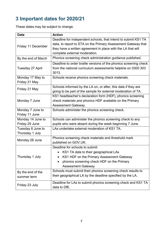# <span id="page-6-0"></span>**3 Important dates for 2020/21**

These dates may be subject to change.

| <b>Date</b>         | <b>Action</b>                                                     |  |  |  |  |  |
|---------------------|-------------------------------------------------------------------|--|--|--|--|--|
|                     | Deadline for independent schools, that intend to submit KS1 TA    |  |  |  |  |  |
|                     | data, to report to STA on the Primary Assessment Gateway that     |  |  |  |  |  |
| Friday 11 December  | they have a written agreement in place with the LA that will      |  |  |  |  |  |
|                     | complete external moderation.                                     |  |  |  |  |  |
| By the end of March | Phonics screening check administration guidance published.        |  |  |  |  |  |
|                     | Deadline to order braille versions of the phonics screening check |  |  |  |  |  |
| Tuesday 27 April    | from the national curriculum assessments helpline on 0300 303     |  |  |  |  |  |
|                     | 3013.                                                             |  |  |  |  |  |
| Monday 17 May to    | Schools receive phonics screening check materials.                |  |  |  |  |  |
| Friday 21 May       |                                                                   |  |  |  |  |  |
|                     | Schools informed by the LA on, or after, this date if they are    |  |  |  |  |  |
| Friday 21 May       | going to be part of the sample for external moderation of TA.     |  |  |  |  |  |
|                     | KS1 headteacher's declaration form (HDF), phonics screening       |  |  |  |  |  |
| Monday 7 June       | check materials and phonics HDF available on the Primary          |  |  |  |  |  |
|                     | <b>Assessment Gateway.</b>                                        |  |  |  |  |  |
| Monday 7 June to    | Schools administer the phonics screening check.                   |  |  |  |  |  |
| Friday 11 June      |                                                                   |  |  |  |  |  |
| Monday 14 June to   | Schools can administer the phonics screening check to any         |  |  |  |  |  |
| Friday 25 June      | pupils who were absent during the week beginning 7 June.          |  |  |  |  |  |
| Tuesday 8 June to   | LAs undertake external moderation of KS1 TA.                      |  |  |  |  |  |
| Thursday 1 July     |                                                                   |  |  |  |  |  |
| Monday 28 June      | Phonics screening check materials and threshold mark              |  |  |  |  |  |
|                     | published on GOV.UK.                                              |  |  |  |  |  |
| Thursday 1 July     | Deadline for schools to submit:                                   |  |  |  |  |  |
|                     | KS1 TA data to their geographical LAs                             |  |  |  |  |  |
|                     | KS1 HDF on the Primary Assessment Gateway                         |  |  |  |  |  |
|                     | phonics screening check HDF on the Primary                        |  |  |  |  |  |
|                     | <b>Assessment Gateway</b>                                         |  |  |  |  |  |
| By the end of the   | Schools must submit their phonics screening check results to      |  |  |  |  |  |
| summer term         | their geographical LA by the deadline specified by the LA.        |  |  |  |  |  |
|                     | Deadline for LAs to submit phonics screening check and KS1 TA     |  |  |  |  |  |
| Friday 23 July      | data to DfE.                                                      |  |  |  |  |  |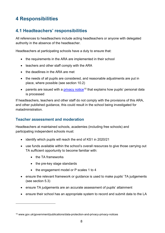# <span id="page-7-0"></span>**4 Responsibilities**

## <span id="page-7-1"></span>**4.1 Headteachers' responsibilities**

All references to headteachers include acting headteachers or anyone with delegated authority in the absence of the headteacher.

Headteachers at participating schools have a duty to ensure that:

- the requirements in the ARA are implemented in their school
- teachers and other staff comply with the ARA
- the deadlines in the ARA are met
- the needs of all pupils are considered, and reasonable adjustments are put in place, where possible (see section 10.2)
- parents are issued with a [privacy notice](https://www.gov.uk/government/publications/data-protection-and-privacy-privacy-notices)<sup>[10](#page-7-2)</sup> that explains how pupils' personal data is processed

If headteachers, teachers and other staff do not comply with the provisions of this ARA, and other published guidance, this could result in the school being investigated for maladministration.

#### **Teacher assessment and moderation**

Headteachers at maintained schools, academies (including free schools) and participating independent schools must:

- identify which pupils will reach the end of KS1 in 2020/21
- use funds available within the school's overall resources to give those carrying out TA sufficient opportunity to become familiar with:
	- the TA frameworks
	- the pre-key stage standards
	- the engagement model or P scales 1 to 4
- ensure the relevant framework or guidance is used to make pupils' TA judgements (see section 5.3)
- ensure TA judgements are an accurate assessment of pupils' attainment
- ensure their school has an appropriate system to record and submit data to the LA

<span id="page-7-2"></span><sup>10</sup> www.gov.uk/government/publications/data-protection-and-privacy-privacy-notices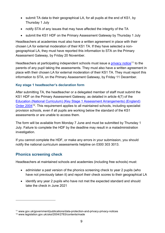- submit TA data to their geographical LA, for all pupils at the end of KS1, by Thursday 1 July
- notify STA of any issues that may have affected the integrity of the TA
- submit the KS1 HDF on the Primary Assessment Gateway by Thursday 1 July

Headteachers at academies must also have a written agreement in place with their chosen LA for external moderation of their KS1 TA. If they have selected a nongeographical LA, they must have reported this information to STA on the Primary Assessment Gateway, by Friday 20 November.

Headteachers at participating independent schools must issue a [privacy notice](http://www.gov.uk/government/publications/data-protection-and-privacy-privacy-notices)<sup>[11](#page-8-0)</sup> to the parents of any pupil taking the assessments. They must also have a written agreement in place with their chosen LA for external moderation of their KS1 TA. They must report this information to STA, on the Primary Assessment Gateway, by Friday 11 December.

#### **Key stage 1 headteacher's declaration form**

After submitting TA, the headteacher or a delegated member of staff must submit the KS1 HDF on the Primary Assessment Gateway, as detailed in article 4(7) of the [Education \(National Curriculum\) \(Key Stage 1 Assessment Arrangements\) \(England\)](https://www.legislation.gov.uk/uksi/2004/2783/contents/made)  [Order 2004](https://www.legislation.gov.uk/uksi/2004/2783/contents/made)<sup>12</sup>. This requirement applies to all maintained schools, including specialist provision schools, even if all pupils are working below the standard of the KS1 assessments or are unable to access them.

The form will be available from Monday 7 June and must be submitted by Thursday 1 July. Failure to complete the HDF by the deadline may result in a maladministration investigation.

If you cannot complete the HDF, or make any errors in your submission, you should notify the national curriculum assessments helpline on 0300 303 3013.

#### **Phonics screening check**

Headteachers at maintained schools and academies (including free schools) must:

- administer a past version of the phonics screening check to year 2 pupils (who have not previously taken it) and report their check scores to their geographical LA
- identify any year 2 pupils who have not met the expected standard and should take the check in June 2021

<span id="page-8-0"></span><sup>11</sup> www.gov.uk/government/publications/data-protection-and-privacy-privacy-notices

<span id="page-8-1"></span><sup>12</sup> www.legislation.gov.uk/uksi/2004/2783/contents/made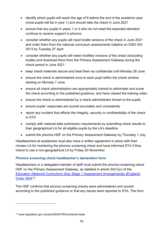- identify which pupils will reach the age of 6 before the end of the academic year (most pupils will be in year 1) and should take the check in June 2021
- ensure that any pupils in years 1 or 2 who do not meet the expected standard continue to receive support in phonics
- consider whether any pupils will need braille versions of the check in June 2021 and order them from the national curriculum assessments helpline on 0300 303 3013 by Tuesday 27 April
- consider whether any pupils will need modified versions of the check (excluding braille) and download them from the Primary Assessment Gateway during the check period in June 2021
- keep check materials secure and treat them as confidential until Monday 28 June
- ensure the check is administered once to each pupil within the check window starting on Monday 7 June
- ensure all check administrators are appropriately trained to administer and score the check according to the published guidance, and have viewed the training video
- ensure the check is administered by a check administrator known to the pupils
- ensure pupils' responses are scored accurately and consistently
- report any incident that affects the integrity, security or confidentiality of the check to STA
- comply with national data submission requirements by submitting check results to their geographical LA for all eligible pupils by the LA's deadline
- submit the phonics HDF on the Primary Assessment Gateway by Thursday 1 July

Headteachers at academies must also have a written agreement in place with their chosen LA for monitoring the phonics screening check and have informed STA if they intend to use a non-geographical LA by Friday 20 November.

#### **Phonics screening check headteacher's declaration form**

Headteachers or a delegated member of staff must submit the phonics screening check HDF on the Primary Assessment Gateway, as detailed in article 5A(1)(c) of the [Education \(National Curriculum\) \(Key Stage 1 Assessment Arrangements\) \(England\)](http://www.legislation.gov.uk/uksi/2004/2783/contents/made)  [Order 2004](http://www.legislation.gov.uk/uksi/2004/2783/contents/made)[13.](#page-9-0)

The HDF confirms that phonics screening checks were administered and scored according to the published guidance or that any issues were reported to STA. The form

<span id="page-9-0"></span><sup>13</sup> www.legislation.gov.uk/uksi/2004/2783/contents/made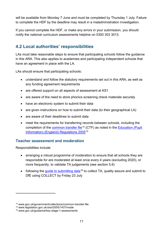will be available from Monday 7 June and must be completed by Thursday 1 July. Failure to complete the HDF by the deadline may result in a maladministration investigation.

If you cannot complete the HDF, or make any errors in your submission, you should notify the national curriculum assessments helpline on 0300 303 3013.

## <span id="page-10-0"></span>**4.2 Local authorities' responsibilities**

LAs must take reasonable steps to ensure that participating schools follow the guidance in this ARA. This also applies to academies and participating independent schools that have an agreement in place with the LA.

LAs should ensure that participating schools:

- understand and follow the statutory requirements set out in this ARA, as well as any funding agreement requirements
- are offered support on all aspects of assessment at KS1
- are aware of the need to store phonics screening check materials securely
- have an electronic system to submit their data
- are given instructions on how to submit their data (to their geographical LA)
- are aware of their deadlines to submit data
- meet the requirements for transferring records between schools, including the completion of the [common transfer file](http://www.gov.uk/government/collections/common-transfer-file)<sup>[14](#page-10-1)</sup> (CTF) as noted in the Education (Pupil [Information\) \(England\) Regulations 2005](http://www.legislation.gov.uk/uksi/2005/1437/made)[15](#page-10-2)

#### **Teacher assessment and moderation**

Responsibilities include:

- arranging a robust programme of moderation to ensure that all schools they are responsible for are moderated at least once every 4 years (excluding 2020), or more frequently, to validate TA judgements (see section 5.6)
- following the quide to submitting data<sup>[16](#page-10-3)</sup> to collect TA, quality assure and submit to DfE using COLLECT by Friday 23 July

<span id="page-10-1"></span><sup>14</sup> www.gov.uk/government/collections/common-transfer-file

<span id="page-10-2"></span><sup>15</sup> www.legislation.gov.uk/uksi/2005/1437/made

<span id="page-10-3"></span><sup>16</sup> www.gov.uk/guidance/key-stage-1-assessments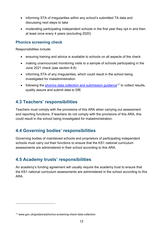- informing STA of irregularities within any school's submitted TA data and discussing next steps to take
- moderating participating independent schools in the first year they opt in and then at least once every 4 years (excluding 2020)

#### **Phonics screening check**

Responsibilities include:

- ensuring training and advice is available to schools on all aspects of the check
- making unannounced monitoring visits to a sample of schools participating in the June 2021 check (see section 6.6)
- informing STA of any irregularities, which could result in the school being investigated for maladministration
- following the phonics data collection and submission quidance<sup>[17](#page-11-3)</sup> to collect results, quality assure and submit data to DfE

## <span id="page-11-0"></span>**4.3 Teachers' responsibilities**

Teachers must comply with the provisions of this ARA when carrying out assessment and reporting functions. If teachers do not comply with the provisions of this ARA, this could result in the school being investigated for maladministration.

## <span id="page-11-1"></span>**4.4 Governing bodies' responsibilities**

Governing bodies of maintained schools and proprietors of participating independent schools must carry out their functions to ensure that the KS1 national curriculum assessments are administered in their school according to this ARA.

## <span id="page-11-2"></span>**4.5 Academy trusts' responsibilities**

An academy's funding agreement will usually require the academy trust to ensure that the KS1 national curriculum assessments are administered in the school according to this ARA.

<span id="page-11-3"></span><sup>17</sup> www.gov.uk/guidance/phonics-screening-check-data-collection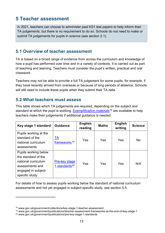# <span id="page-12-0"></span>**5 Teacher assessment**

In 2021, teachers can choose to administer past KS1 test papers to help inform their TA judgements, but there is no requirement to do so. Schools do not need to make or submit TA judgements for pupils in science (see section 2.1).

## <span id="page-12-1"></span>**5.1 Overview of teacher assessment**

TA is based on a broad range of evidence from across the curriculum and knowledge of how a pupil has performed over time and in a variety of contexts. It is carried out as part of teaching and learning. Teachers must consider the pupil's written, practical and oral classwork.

Teachers may not be able to provide a full TA judgement for some pupils, for example, if they have recently arrived from overseas or because of long periods of absence. Schools will still need to include these pupils when they submit their TA data.

## <span id="page-12-2"></span>**5.2 What teachers must assess**

This table shows which TA judgements are required, depending on the subject and standard at which the pupil is working. [Exemplification materials](https://www.gov.uk/government/collections/key-stage-1-teacher-assessment)<sup>[18](#page-12-3)</sup> are available to help teachers make their judgements if additional guidance is needed.

| Key stage 1 standard                                                                                                           | <b>Guidance</b>                            | <b>English</b><br>reading | <b>Maths</b> | <b>English</b><br>writing | <b>Science</b> |
|--------------------------------------------------------------------------------------------------------------------------------|--------------------------------------------|---------------------------|--------------|---------------------------|----------------|
| Pupils working at the<br>standard of the<br>national curriculum<br>assessments                                                 | TA<br>frameworks <sup>19</sup>             | Yes                       | Yes          | Yes                       | No             |
| Pupils working below<br>the standard of the<br>national curriculum<br>assessments and<br>engaged in subject-<br>specific study | Pre-key stage<br>1 standards <sup>20</sup> | Yes                       | Yes          | Yes                       | N/A            |

For details of how to assess pupils working below the standard of national curriculum assessments and not yet engaged in subject-specific study, see section 5.5.

<span id="page-12-3"></span><sup>18</sup> www.gov.uk/government/collections/key-stage-1-teacher-assessment

<span id="page-12-4"></span><sup>19</sup> www.gov.uk/government/publications/teacher-assessment-frameworks-at-the-end-of-key-stage-1

<span id="page-12-5"></span><sup>20</sup> www.gov.uk/government/publications/pre-key-stage-1-standards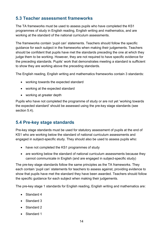## <span id="page-13-0"></span>**5.3 Teacher assessment frameworks**

The TA frameworks must be used to assess pupils who have completed the KS1 programmes of study in English reading, English writing and mathematics, and are working at the standard of the national curriculum assessments.

The frameworks contain 'pupil can' statements. Teachers should follow the specific guidance for each subject in the frameworks when making their judgements. Teachers should be confident that pupils have met the standards preceding the one at which they judge them to be working. However, they are not required to have specific evidence for the preceding standards. Pupils' work that demonstrates meeting a standard is sufficient to show they are working above the preceding standards.

The English reading, English writing and mathematics frameworks contain 3 standards:

- working towards the expected standard
- working at the expected standard
- working at greater depth

Pupils who have not completed the programme of study or are not yet 'working towards the expected standard' should be assessed using the pre-key stage standards (see section 5.4).

## <span id="page-13-1"></span>**5.4 Pre-key stage standards**

Pre-key stage standards must be used for statutory assessment of pupils at the end of KS1 who are working below the standard of national curriculum assessments and engaged in subject-specific study. They should also be used to assess pupils who:

- have not completed the KS1 programmes of study
- are working below the standard of national curriculum assessments because they cannot communicate in English (and are engaged in subject-specific study)

The pre-key stage standards follow the same principles as the TA frameworks. They each contain 'pupil can' statements for teachers to assess against, providing evidence to show that pupils have met the standard they have been awarded. Teachers should follow the specific guidance for each subject when making their judgements.

The pre-key stage 1 standards for English reading, English writing and mathematics are:

- Standard 4
- Standard 3
- Standard 2
- Standard 1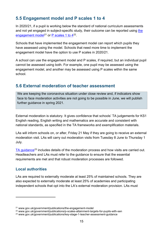## <span id="page-14-0"></span>**5.5 Engagement model and P scales 1 to 4**

In 2020/21, if a pupil is working below the standard of national curriculum assessments and not yet engaged in subject-specific study, their outcome can be reported using the [engagement model](https://www.gov.uk/government/publications/the-engagement-model)<sup>[21](#page-14-2)</sup> or P scales 1 to  $4^{22}$  $4^{22}$  $4^{22}$ .

Schools that have implemented the engagement model can report which pupils they have assessed using the model. Schools that need more time to implement the engagement model have the option to use P scales in 2020/21.

A school can use the engagement model and P scales, if required, but an individual pupil cannot be assessed using both. For example, one pupil may be assessed using the engagement model, and another may be assessed using P scales within the same school.

## <span id="page-14-1"></span>**5.6 External moderation of teacher assessment**

We are keeping the coronavirus situation under close review and, if indicators show face to face moderation activities are not going to be possible in June, we will publish further guidance in spring 2021.

External moderation is statutory. It gives confidence that schools' TA judgements for KS1 English reading, English writing and mathematics are accurate and consistent with national standards, as specified in the TA frameworks and exemplification materials.

LAs will inform schools on, or after, Friday 21 May if they are going to receive an external moderation visit. LAs will carry out moderation visits from Tuesday 8 June to Thursday 1 July.

[TA guidance](https://www.gov.uk/government/publications/key-stage-1-teacher-assessment-guidance)<sup>[23](#page-14-4)</sup> includes details of the moderation process and how visits are carried out. Headteachers and LAs must refer to the guidance to ensure that the essential requirements are met and that robust moderation processes are followed.

#### **Local authorities**

LAs are required to externally moderate at least 25% of maintained schools. They are also expected to externally moderate at least 25% of academies and participating independent schools that opt into the LA's external moderation provision. LAs must

<span id="page-14-2"></span><sup>21</sup> www.gov.uk/government/publications/the-engagement-model

<span id="page-14-3"></span><sup>22</sup> www.gov.uk/government/publications/p-scales-attainment-targets-for-pupils-with-sen

<span id="page-14-4"></span><sup>23</sup> www.gov.uk/government/publications/key-stage-1-teacher-assessment-guidance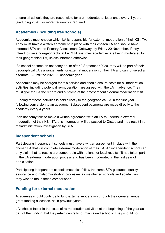ensure all schools they are responsible for are moderated at least once every 4 years (excluding 2020), or more frequently if required.

#### **Academies (including free schools)**

Academies must choose which LA is responsible for external moderation of their KS1 TA. They must have a written agreement in place with their chosen LA and should have informed STA on the Primary Assessment Gateway, by Friday 20 November, if they intend to use a non-geographical LA. STA assumes academies are being moderated by their geographical LA, unless informed otherwise.

If a school became an academy on, or after 2 September 2020, they will be part of their geographical LA's arrangements for external moderation of their TA and cannot select an alternate LA until the 2021/22 academic year.

Academies may be charged for this service and should ensure costs for all moderation activities, including potential re-moderation, are agreed with the LA in advance. They must give the LA the record and outcome of their most recent external moderation visit.

Funding for these activities is paid directly to the geographical LA in the first year following conversion to an academy. Subsequent payments are made directly to the academy every 4 years.

If an academy fails to make a written agreement with an LA to undertake external moderation of their KS1 TA, this information will be passed to Ofsted and may result in a maladministration investigation by STA.

#### **Independent schools**

Participating independent schools must have a written agreement in place with their chosen LA that will complete external moderation of their TA. An independent school can only claim that its results are comparable with national or local results if it has taken part in the LA external moderation process and has been moderated in the first year of participation.

Participating independent schools must also follow the same STA guidance, quality assurance and maladministration processes as maintained schools and academies if they wish to make these comparisons.

#### **Funding for external moderation**

Academies should continue to fund external moderation through their general annual grant funding allocation, as in previous years.

LAs should factor in the costs of re-moderation activities at the beginning of the year as part of the funding that they retain centrally for maintained schools. They should not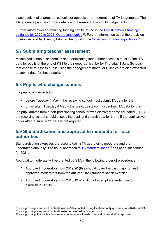place additional charges on schools for appeals or re-moderation of TA judgements. The TA guidance provides further details about re-moderation of TA judgements.

Further information on retaining funding can be found in the [Pre-16 schools funding:](https://www.gov.uk/government/publications/pre-16-schools-funding-local-authority-guidance-for-2020-to-2021)  [guidance for 2020 to 2021: Operational guide](https://www.gov.uk/government/publications/pre-16-schools-funding-local-authority-guidance-for-2020-to-2021)<sup>24</sup>. Further information about the provision of services and facilities by LAs can be found in the [Schemes for financing schools](https://www.gov.uk/government/publications/schemes-for-financing-schools)<sup>[25](#page-16-4)</sup>.

## <span id="page-16-0"></span>**5.7 Submitting teacher assessment**

Maintained schools, academies and participating independent schools must submit TA data for pupils at the end of KS1 to their geographical LA by Thursday 1 July. Schools that choose to assess pupils using the engagement model or P scales are also expected to submit data for these pupils.

## <span id="page-16-1"></span>**5.8 Pupils who change schools**

If a pupil changes school:

- before Tuesday 4 May the receiving school must submit TA data for them
- on, or after, Tuesday 4 May the previous school must submit TA data for them

If a pupil arrives from a non-participating school or was electively home educated (EHE), the receiving school should assess the pupil and submit data for them. If the pupil arrives on, or after, 1 June 2021 data is not required.

#### <span id="page-16-2"></span>**5.9 Standardisation and approval to moderate for local authorities**

Standardisation exercises are used to gain STA approval to moderate and are undertaken annually. The usual approach to  $TA$  standardisation<sup>[26](#page-16-5)</sup> has been suspended for 2021.

Approval to moderate will be granted by STA in the following order of precedence:

- 1. Approved moderators from 2019/20 (this should cover the vast majority) and approved moderators from the autumn 2020 standardisation exercise.
- 2. Approved moderators from 2018/19 who did not attempt a standardisation exercise in 2019/20.

<span id="page-16-3"></span><sup>&</sup>lt;sup>24</sup> www.gov.uk/government/publications/pre-16-schools-funding-local-authority-guidance-for-2020-to-2021 <sup>25</sup> www.gov.uk/government/publications/schemes-for-financing-schools

<span id="page-16-5"></span><span id="page-16-4"></span><sup>26</sup> www.gov.uk/guidance/teacher-assessment-moderation-standardisation-and-training-process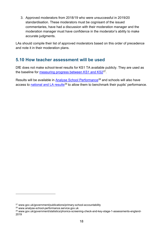3. Approved moderators from 2018/19 who were unsuccessful in 2019/20 standardisation. These moderators must be cognisant of the issued commentaries, have had a discussion with their moderation manager and the moderation manager must have confidence in the moderator's ability to make accurate judgments.

LAs should compile their list of approved moderators based on this order of precedence and note it in their moderation plans.

## <span id="page-17-0"></span>**5.10 How teacher assessment will be used**

DfE does not make school-level results for KS1 TA available publicly. They are used as the baseline for [measuring progress between KS1 and KS2](http://www.gov.uk/government/publications/primary-school-accountability)[27.](#page-17-1)

Results will be available in [Analyse School Performance](http://www.analyse-school-performance.service.gov.uk/)<sup>[28](#page-17-2)</sup> and schools will also have access to [national and LA results](https://www.gov.uk/government/statistics/phonics-screening-check-and-key-stage-1-assessments-england-2019)<sup>[29](#page-17-3)</sup> to allow them to benchmark their pupils' performance.

<span id="page-17-1"></span><sup>27</sup> www.gov.uk/government/publications/primary-school-accountability

<span id="page-17-2"></span><sup>28</sup> www.analyse-school-performance.service.gov.uk

<span id="page-17-3"></span><sup>29</sup> www.gov.uk/government/statistics/phonics-screening-check-and-key-stage-1-assessments-england-2019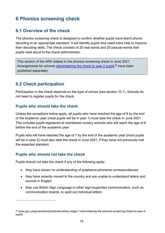# <span id="page-18-0"></span>**6 Phonics screening check**

## <span id="page-18-1"></span>**6.1 Overview of the check**

The phonics screening check is designed to confirm whether pupils have learnt phonic decoding to an appropriate standard. It will identify pupils who need extra help to improve their decoding skills. The check consists of 20 real words and 20 pseudo-words that pupils read aloud to the check administrator.

This section of the ARA relates to the phonics screening check in June 2021. Arrangements for schools [administering the check to year 2 pupils](https://www.gov.uk/government/publications/key-stage-1-administering-the-phonics-screening-check-to-year-2-pupils)<sup>[30](#page-18-3)</sup> have been published separately.

## <span id="page-18-2"></span>**6.2 Check participation**

Participation in the check depends on the type of school (see section 10.1). Schools do not need to register pupils for the check.

#### **Pupils who should take the check**

Unless the exceptions below apply, all pupils who have reached the age of 6 by the end of the academic year (most pupils will be in year 1) must take the check in June 2021. This includes pupils registered at maintained nursery schools who will reach the age of 6 before the end of the academic year.

Pupils who will have reached the age of 7 by the end of the academic year (most pupils will be in year 2) must also take the check in June 2021, if they have not previously met the expected standard.

#### **Pupils who should not take the check**

Pupils should not take the check if any of the following apply:

- they have shown no understanding of grapheme-phoneme correspondences
- they have recently moved to the country and are unable to understand letters and sounds in English
- they use British Sign Language or other sign-supported communication, such as communication boards, to spell out individual letters

<span id="page-18-3"></span><sup>30</sup> www.gov.uk/government/publications/key-stage-1-administering-the-phonics-screening-check-to-year-2 pupils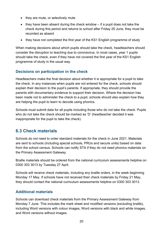- they are mute, or selectively mute
- they have been absent during the check window if a pupil does not take the check during this period and returns to school after Friday 25 June, they must be recorded as absent
- they have not completed the first year of the KS1 English programme of study

When making decisions about which pupils should take the check, headteachers should consider the disruption to teaching due to coronavirus. In most cases, year 1 pupils should take the check, even if they have not covered the first year of the KS1 English programme of study in the usual way.

#### **Decisions on participation in the check**

Headteachers make the final decision about whether it is appropriate for a pupil to take the check. In any instances when pupils are not entered for the check, schools should explain their decision to the pupil's parents. If appropriate, they should provide the parents with documentary evidence to support their decision. Where the decision has been made not to administer the check to a pupil, schools should also explain how they are helping the pupil to learn to decode using phonics.

Schools must submit data for all pupils including those who do not take the check. Pupils who do not take the check should be marked as 'D' (headteacher decided it was inappropriate for the pupil to take the check).

## <span id="page-19-0"></span>**6.3 Check materials**

Schools do not need to order standard materials for the check in June 2021. Materials are sent to schools (including special schools, PRUs and secure units) based on data from the school census. Schools can notify STA if they do not need phonics materials on the Primary Assessment Gateway.

Braille materials should be ordered from the national curriculum assessments helpline on 0300 303 3013 by Tuesday 27 April.

Schools will receive check materials, including any braille orders, in the week beginning Monday 17 May. If schools have not received their check materials by Friday 21 May, they should contact the national curriculum assessments helpline on 0300 303 3013.

#### **Additional materials**

Schools can download check materials from the Primary Assessment Gateway from Monday 7 June. This includes the mark sheet and modified versions (excluding braille), including Word versions with colour images, Word versions with black and white images, and Word versions without images.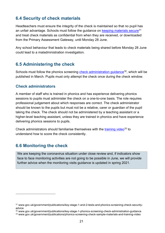## <span id="page-20-0"></span>**6.4 Security of check materials**

Headteachers must ensure the integrity of the check is maintained so that no pupil has an unfair advantage. Schools must follow the guidance on [keeping materials secure](https://www.gov.uk/government/publications/key-stage-1-and-2-tests-and-phonics-screening-check-security-advice)<sup>[31](#page-20-3)</sup> and treat check materials as confidential from when they are received, or downloaded from the Primary Assessment Gateway, until Monday 28 June.

Any school behaviour that leads to check materials being shared before Monday 28 June could lead to a maladministration investigation.

#### <span id="page-20-1"></span>**6.5 Administering the check**

Schools must follow the phonics screening [check administration guidance](https://www.gov.uk/government/publications/key-stage-1-phonics-screening-check-administration-guidance)<sup>32</sup>, which will be published in March. Pupils must only attempt the check once during the check window.

#### **Check administrators**

A member of staff who is trained in phonics and has experience delivering phonics sessions to pupils must administer the check on a one-to-one basis. The role requires professional judgement about which responses are correct. The check administrator should be known to the pupils but must not be a relative, carer or guardian of the pupil taking the check. The check should not be administered by a teaching assistant or a higher-level teaching assistant, unless they are trained in phonics and have experience delivering phonics sessions to pupils.

Check administrators should familiarise themselves with the [training video](https://www.gov.uk/government/publications/phonics-screening-check-sample-materials-and-training-video)<sup>[33](#page-20-5)</sup> to understand how to score the check consistently.

## <span id="page-20-2"></span>**6.6 Monitoring the check**

We are keeping the coronavirus situation under close review and, if indicators show face to face monitoring activities are not going to be possible in June, we will provide further advice when the monitoring visits guidance is updated in spring 2021.

<span id="page-20-3"></span><sup>31</sup> www.gov.uk/government/publications/key-stage-1-and-2-tests-and-phonics-screening-check-securityadvice

<span id="page-20-4"></span><sup>32</sup> www.gov.uk/government/publications/key-stage-1-phonics-screening-check-administration-guidance

<span id="page-20-5"></span><sup>33</sup> www.gov.uk/government/publications/phonics-screening-check-sample-materials-and-training-video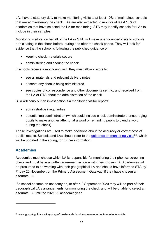LAs have a statutory duty to make monitoring visits to at least 10% of maintained schools that are administering the check. LAs are also expected to monitor at least 10% of academies that have selected the LA for monitoring. STA may identify schools for LAs to include in their samples.

Monitoring visitors, on behalf of the LA or STA, will make unannounced visits to schools participating in the check before, during and after the check period. They will look for evidence that the school is following the published guidance on:

- keeping check materials secure
- administering and scoring the check

If schools receive a monitoring visit, they must allow visitors to:

- see all materials and relevant delivery notes
- observe any checks being administered
- see copies of correspondence and other documents sent to, and received from, the LA or STA about the administration of the check

STA will carry out an investigation if a monitoring visitor reports:

- administrative irregularities
- potential maladministration (which could include check administrators encouraging pupils to make another attempt at a word or reminding pupils to blend a word during the check)

These investigations are used to make decisions about the accuracy or correctness of pupils' results. Schools and LAs should refer to the quidance on monitoring visits<sup>34</sup>, which will be updated in the spring, for further information.

#### **Academies**

Academies must choose which LA is responsible for monitoring their phonics screening check and must have a written agreement in place with their chosen LA. Academies will be presumed to be working with their geographical LA and should have informed STA by Friday 20 November, on the Primary Assessment Gateway, if they have chosen an alternate LA.

If a school became an academy on, or after, 2 September 2020 they will be part of their geographical LA's arrangements for monitoring the check and will be unable to select an alternate LA until the 2021/22 academic year.

<span id="page-21-0"></span><sup>34</sup> www.gov.uk/guidance/key-stage-2-tests-and-phonics-screening-check-monitoring-visits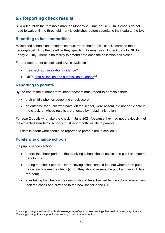## <span id="page-22-0"></span>**6.7 Reporting check results**

STA will publish the threshold mark on Monday 28 June on GOV.UK. Schools do not need to wait until the threshold mark is published before submitting their data to the LA.

#### **Reporting to local authorities**

Maintained schools and academies must report their pupils' check scores to their geographical LA by the deadline they specify. LAs must submit check data to DfE by Friday 23 July. There is no facility to amend data once the collection has closed.

Further support for schools and LAs is available in:

- $\bullet$  the [check administration guidance](https://www.gov.uk/government/publications/key-stage-1-phonics-screening-check-administration-guidance)<sup>[35](#page-22-1)</sup>
- DfE's data collection and submission quidance<sup>[36](#page-22-2)</sup>

#### **Reporting to parents**

By the end of the summer term, headteachers must report to parents either:

- their child's phonics screening check score
- an outcome for pupils who have left the school, were absent, did not participate in the check, or whose results are affected by maladministration

For year 2 pupils who take the check in June 2021 (because they had not previously met the expected standard), schools must report both results to parents.

Full details about what should be reported to parents are in section 8.2.

#### **Pupils who change schools**

If a pupil changes school:

- before the check period the receiving school should assess the pupil and submit data for them
- during the check period the receiving school should find out whether the pupil has already taken the check (if not, they should assess the pupil and submit data for them)
- after taking the check their result should be submitted by the school where they took the check and provided to the new school in the CTF

<span id="page-22-2"></span><span id="page-22-1"></span><sup>35</sup> www.gov.uk/government/publications/key-stage-1-phonics-screening-check-administration-guidance <sup>36</sup> www.gov.uk/guidance/phonics-screening-check-data-collection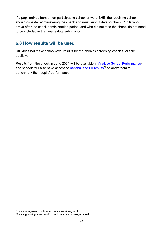If a pupil arrives from a non-participating school or were EHE, the receiving school should consider administering the check and must submit data for them. Pupils who arrive after the check administration period, and who did not take the check, do not need to be included in that year's data submission.

#### <span id="page-23-0"></span>**6.8 How results will be used**

DfE does not make school-level results for the phonics screening check available publicly.

Results from the check in June 2021 will be available in [Analyse School Performance](http://www.analyse-school-performance.service.gov.uk/)<sup>[37](#page-23-1)</sup> and schools will also have access to [national and LA results](https://www.gov.uk/government/collections/statistics-key-stage-1)<sup>[38](#page-23-2)</sup> to allow them to benchmark their pupils' performance.

<span id="page-23-1"></span><sup>37</sup> www.analyse-school-performance.service.gov.uk

<span id="page-23-2"></span><sup>38</sup> www.gov.uk/government/collections/statistics-key-stage-1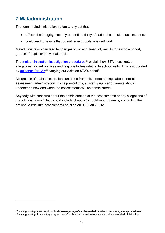# <span id="page-24-0"></span>**7 Maladministration**

The term 'maladministration' refers to any act that:

- affects the integrity, security or confidentiality of national curriculum assessments
- could lead to results that do not reflect pupils' unaided work

Maladministration can lead to changes to, or annulment of, results for a whole cohort, groups of pupils or individual pupils.

The [maladministration investigation procedures](https://www.gov.uk/government/publications/key-stage-1-and-2-maladministration-investigation-procedures)<sup>[39](#page-24-1)</sup> explain how STA investigates allegations, as well as roles and responsibilities relating to school visits. This is supported by [guidance for LAs](https://www.gov.uk/guidance/key-stage-1-and-2-school-visits-following-an-allegation-of-maladministration)<sup>[40](#page-24-2)</sup> carrying out visits on STA's behalf.

Allegations of maladministration can come from misunderstandings about correct assessment administration. To help avoid this, all staff, pupils and parents should understand how and when the assessments will be administered.

Anybody with concerns about the administration of the assessments or any allegations of maladministration (which could include cheating) should report them by contacting the national curriculum assessments helpline on 0300 303 3013.

<span id="page-24-2"></span><span id="page-24-1"></span><sup>39</sup> www.gov.uk/government/publications/key-stage-1-and-2-maladministration-investigation-procedures <sup>40</sup> www.gov.uk/guidance/key-stage-1-and-2-school-visits-following-an-allegation-of-maladministration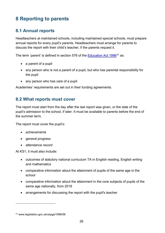# <span id="page-25-0"></span>**8 Reporting to parents**

## <span id="page-25-1"></span>**8.1 Annual reports**

Headteachers at maintained schools, including maintained special schools, must prepare annual reports for every pupil's parents. Headteachers must arrange for parents to discuss the report with their child's teacher, if the parents request it.

The term 'parent' is defined in section 576 of the [Education Act 1996](http://www.legislation.gov.uk/ukpga/1996/56)<sup>[41](#page-25-3)</sup> as:

- a parent of a pupil
- any person who is not a parent of a pupil, but who has parental responsibility for the pupil
- any person who has care of a pupil

Academies' requirements are set out in their funding agreements.

#### <span id="page-25-2"></span>**8.2 What reports must cover**

The report must start from the day after the last report was given, or the date of the pupil's admission to the school, if later. It must be available to parents before the end of the summer term.

The report must cover the pupil's:

- achievements
- general progress
- attendance record

At KS1, it must also include:

- outcomes of statutory national curriculum TA in English reading, English writing and mathematics
- comparative information about the attainment of pupils of the same age in the school
- comparative information about the attainment in the core subjects of pupils of the same age nationally, from 2019
- arrangements for discussing the report with the pupil's teacher

<span id="page-25-3"></span><sup>41</sup> www.legislation.gov.uk/ukpga/1996/56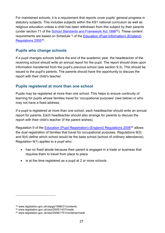For maintained schools, it is a requirement that reports cover pupils' general progress in statutory subjects. This includes subjects within the KS1 national curriculum as well as religious education unless a child has been withdrawn from this subject by their parents (under section 71 of the [School Standards and Framework Act 1998](http://www.legislation.gov.uk/ukpga/1998/31/contents)[42\)](#page-26-0). These content requirements are based on Schedule 1 of the [Education \(Pupil Information\) \(England\)](http://www.legislation.gov.uk/uksi/2005/1437/made)  [Regulations 2005](http://www.legislation.gov.uk/uksi/2005/1437/made)[43](#page-26-1).

#### **Pupils who change schools**

If a pupil changes schools before the end of the academic year, the headteacher of the receiving school should write an annual report for the pupil. The report should draw upon information transferred from the pupil's previous school (see section 9.3). This should be issued to the pupil's parents. The parents should have the opportunity to discuss the report with their child's teacher.

#### **Pupils registered at more than one school**

Pupils may be registered at more than one school. This helps to ensure continuity of learning for pupils whose families travel for 'occupational purposes' (see below) or who may not have a fixed address.

If a pupil is registered at more than one school, each headteacher should write an annual report for parents. Each headteacher should also arrange for parents to discuss the report with their child's teacher (if the parent wishes).

Regulation 9 of the [Education \(Pupil Registration\) \(England\) Regulations 2006](http://www.legislation.gov.uk/uksi/2006/1751/contents/made)[44](#page-26-2) allows the dual registration of families that travel for occupational purposes. Regulations 9(3) and 9(4) define which school would be the base school (school of ordinary attendance). Regulation 9(1) applies to a pupil who:

- has no fixed abode because their parent is engaged in a trade or business that requires them to travel from place to place
- is at the time registered as a pupil at 2 or more schools

<span id="page-26-0"></span><sup>42</sup> www.legislation.gov.uk/ukpga/1998/31/contents

<span id="page-26-1"></span><sup>43</sup> www.legislation.gov.uk/uksi/2005/1437/made

<span id="page-26-2"></span><sup>44</sup> www.legislation.gov.uk/uksi/2006/1751/contents/made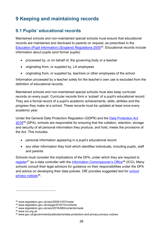# <span id="page-27-0"></span>**9 Keeping and maintaining records**

## <span id="page-27-1"></span>**9.1 Pupils' educational records**

Maintained schools and non-maintained special schools must ensure that educational records are maintained and disclosed to parents on request, as prescribed in the [Education \(Pupil Information\) \(England\) Regulations 2005](http://www.legislation.gov.uk/uksi/2005/1437/made)[45.](#page-27-2) Educational records include information about pupils (and former pupils):

- processed by, or on behalf of, the governing body or a teacher
- originating from, or supplied by, LA employees
- originating from, or supplied by, teachers or other employees of the school

Information processed by a teacher solely for the teacher's own use is excluded from the definition of educational records.

Maintained schools and non-maintained special schools must also keep curricular records on every pupil. Curricular records form a 'subset' of a pupil's educational record. They are a formal record of a pupil's academic achievements, skills, abilities and the progress they make at a school. These records must be updated at least once every academic year.

Under the General Data Protection Regulation (GDPR) and the [Data Protection Act](http://www.legislation.gov.uk/ukpga/2018/12/contents)  [2018](http://www.legislation.gov.uk/ukpga/2018/12/contents)[46](#page-27-3) (DPA), schools are responsible for ensuring that the collation, retention, storage and security of all personal information they produce, and hold, meets the provisions of the Act. This includes:

- personal information appearing in a pupil's educational record
- any other information they hold which identifies individuals, including pupils, staff and parents

Schools must consider the implications of the DPA, under which they are required to [register](http://www.legislation.gov.uk/uksi/2018/480/contents/made)<sup>[47](#page-27-4)</sup> as a data controller with the [Information Commissioner's Office](http://ico.org.uk/)<sup>[48](#page-27-5)</sup> (ICO). Many schools consult their legal advisors for guidance on their responsibilities under the DPA and advice on developing their data policies. DfE provides suggested text for school [privacy notices](https://www.gov.uk/government/publications/data-protection-and-privacy-privacy-notices)<sup>[49](#page-27-6)</sup>.

<span id="page-27-2"></span><sup>45</sup> www.legislation.gov.uk/uksi/2005/1437/made

<span id="page-27-3"></span><sup>46</sup> www.legislation.gov.uk/ukpga/2018/12/contents

<span id="page-27-4"></span><sup>47</sup> www.legislation.gov.uk/uksi/2018/480/contents/made

<span id="page-27-5"></span><sup>48</sup> www.ico.org.uk

<span id="page-27-6"></span><sup>49</sup> www.gov.uk/government/publications/data-protection-and-privacy-privacy-notices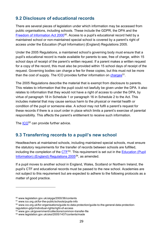## <span id="page-28-0"></span>**9.2 Disclosure of educational records**

There are several pieces of legislation under which information may be accessed from public organisations, including schools. These include the GDPR, the DPA and the [Freedom of Information Act 2000](http://www.legislation.gov.uk/ukpga/2000/36/contents)<sup>[50](#page-28-2)</sup>. Access to a pupil's educational record held by a maintained school or non-maintained special school is covered by a parent's right of access under the Education (Pupil Information) (England) Regulations 2005.

Under the 2005 Regulations, a maintained school's governing body must ensure that a pupil's educational record is made available for parents to see, free of charge, within 15 school days of receipt of the parent's written request. If a parent makes a written request for a copy of the record, this must also be provided within 15 school days of receipt of the request. Governing bodies can charge a fee for these copies, but this must not be more than the cost of supply. The ICO provides further information on [charges](https://ico.org.uk/for-the-public/schools/pupils-info/)<sup>[51](#page-28-3)</sup>.

The 2005 Regulations describe the material that is exempt from disclosure to parents. This relates to information that the pupil could not lawfully be given under the DPA. It also relates to information that they would not have a right of access to under the DPA, by virtue of paragraph 18 in Schedule 1 or paragraph 16 in Schedule 2 to the Act. This includes material that may cause serious harm to the physical or mental health or condition of the pupil or someone else. A school may not fulfil a parent's request for these records if there is a court order in place which limits a parent's exercise of parental responsibility. This affects the parent's entitlement to receive such information.

The [ICO](https://ico.org.uk/for-organisations/guide-to-data-protection/guide-to-the-general-data-protection-regulation-gdpr/individual-rights/right-of-access/)<sup>[52](#page-28-4)</sup> can provide further advice.

## <span id="page-28-1"></span>**9.3 Transferring records to a pupil's new school**

Headteachers at maintained schools, including maintained special schools, must ensure the statutory requirements for the transfer of records between schools are fulfilled, including the completion of the [CTF](http://www.gov.uk/government/collections/common-transfer-file)<sup>53</sup>. This requirement is set out in the Education (Pupil [Information\) \(England\) Regulations 2005](http://www.legislation.gov.uk/uksi/2005/1437/contents/made)[54](#page-28-6), as amended.

If a pupil moves to another school in England, Wales, Scotland or Northern Ireland, the pupil's CTF and educational records must be passed to the new school. Academies are not subject to this requirement but are expected to adhere to the following protocols as a matter of good practice.

<span id="page-28-2"></span><sup>50</sup> www.legislation.gov.uk/ukpga/2000/36/contents

<span id="page-28-3"></span><sup>51</sup> www.ico.org.uk/for-the-public/schools/pupils-info

<span id="page-28-4"></span><sup>52</sup> www.ico.org.uk/for-organisations/guide-to-data-protection/guide-to-the-general-data-protectionregulation-gdpr/individual-rights/right-of-access

<span id="page-28-5"></span><sup>53</sup> www.gov.uk/government/collections/common-transfer-file

<span id="page-28-6"></span><sup>54</sup> www.legislation.gov.uk/uksi/2005/1437/contents/made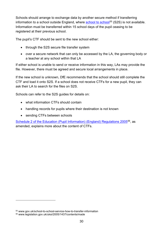Schools should arrange to exchange data by another secure method if transferring information to a school outside England, where [school to school](https://www.gov.uk/school-to-school-service-how-to-transfer-information)<sup>[55](#page-29-0)</sup> (S2S) is not available. Information must be transferred within 15 school days of the pupil ceasing to be registered at their previous school.

The pupil's CTF should be sent to the new school either:

- through the S2S secure file transfer system
- over a secure network that can only be accessed by the LA, the governing body or a teacher at any school within that LA

If either school is unable to send or receive information in this way, LAs may provide the file. However, there must be agreed and secure local arrangements in place.

If the new school is unknown, DfE recommends that the school should still complete the CTF and load it onto S2S. If a school does not receive CTFs for a new pupil, they can ask their LA to search for the files on S2S.

Schools can refer to the S2S guides for details on:

- what information CTFs should contain
- handling records for pupils where their destination is not known
- sending CTFs between schools

[Schedule 2 of the Education \(Pupil Information\) \(England\) Regulations 2005](http://www.legislation.gov.uk/uksi/2005/1437/contents/made)<sup>56</sup>, as amended, explains more about the content of CTFs.

<span id="page-29-0"></span><sup>55</sup> www.gov.uk/school-to-school-service-how-to-transfer-information

<span id="page-29-1"></span><sup>56</sup> www.legislation.gov.uk/uksi/2005/1437/contents/made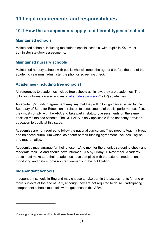# <span id="page-30-0"></span>**10 Legal requirements and responsibilities**

## <span id="page-30-1"></span>**10.1 How the arrangements apply to different types of school**

#### **Maintained schools**

Maintained schools, including maintained special schools, with pupils in KS1 must administer statutory assessments.

#### **Maintained nursery schools**

Maintained nursery schools with pupils who will reach the age of 6 before the end of the academic year must administer the phonics screening check.

#### **Academies (including free schools)**

All references to academies include free schools as, in law, they are academies. The following information also applies to [alternative provision](https://www.gov.uk/government/publications/alternative-provision)<sup>[57](#page-30-2)</sup> (AP) academies.

An academy's funding agreement may say that they will follow guidance issued by the Secretary of State for Education in relation to assessments of pupils' performance. If so, they must comply with the ARA and take part in statutory assessments on the same basis as maintained schools. The KS1 ARA is only applicable if the academy provides education to pupils at this stage.

Academies are not required to follow the national curriculum. They need to teach a broad and balanced curriculum which, as a term of their funding agreement, includes English and mathematics.

Academies must arrange for their chosen LA to monitor the phonics screening check and moderate their TA and should have informed STA by Friday 20 November. Academy trusts must make sure their academies have complied with the external moderation, monitoring and data submission requirements in this publication.

#### **Independent schools**

Independent schools in England may choose to take part in the assessments for one or more subjects at the end of KS1, although they are not required to do so. Participating independent schools must follow the guidance in this ARA.

<span id="page-30-2"></span><sup>57</sup> www.gov.uk/government/publications/alternative-provision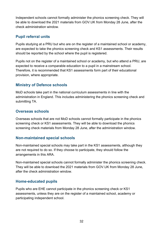Independent schools cannot formally administer the phonics screening check. They will be able to download the 2021 materials from GOV.UK from Monday 28 June, after the check administration window.

#### **Pupil referral units**

Pupils studying at a PRU but who are on the register of a maintained school or academy, are expected to take the phonics screening check and KS1 assessments. Their results should be reported by the school where the pupil is registered.

Pupils not on the register of a maintained school or academy, but who attend a PRU, are expected to receive a comparable education to a pupil in a mainstream school. Therefore, it is recommended that KS1 assessments form part of their educational provision, where appropriate.

#### **Ministry of Defence schools**

MoD schools take part in the national curriculum assessments in line with the administration in England. This includes administering the phonics screening check and submitting TA.

#### **Overseas schools**

Overseas schools that are not MoD schools cannot formally participate in the phonics screening check or KS1 assessments. They will be able to download the phonics screening check materials from Monday 28 June, after the administration window.

#### **Non-maintained special schools**

Non-maintained special schools may take part in the KS1 assessments, although they are not required to do so. If they choose to participate, they should follow the arrangements in this ARA.

Non-maintained special schools cannot formally administer the phonics screening check. They will be able to download the 2021 materials from GOV.UK from Monday 28 June, after the check administration window.

#### **Home-educated pupils**

Pupils who are EHE cannot participate in the phonics screening check or KS1 assessments, unless they are on the register of a maintained school, academy or participating independent school.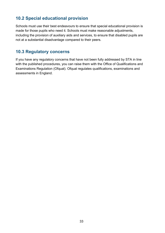## <span id="page-32-0"></span>**10.2 Special educational provision**

Schools must use their best endeavours to ensure that special educational provision is made for those pupils who need it. Schools must make reasonable adjustments, including the provision of auxiliary aids and services, to ensure that disabled pupils are not at a substantial disadvantage compared to their peers.

## <span id="page-32-1"></span>**10.3 Regulatory concerns**

If you have any regulatory concerns that have not been fully addressed by STA in line with the published procedures, you can raise them with the Office of Qualifications and Examinations Regulation (Ofqual). Ofqual regulates qualifications, examinations and assessments in England.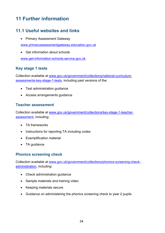# <span id="page-33-0"></span>**11 Further information**

## <span id="page-33-1"></span>**11.1 Useful websites and links**

• Primary Assessment Gateway

[www.primaryassessmentgateway.education.gov.uk](http://www.primaryassessmentgateway.education.gov.uk/)

• Get information about schools

[www.get-information-schools.service.gov.uk](http://www.get-information-schools.service.gov.uk/)

#### **Key stage 1 tests**

Collection available at [www.gov.uk/government/collections/national-curriculum](http://www.gov.uk/government/collections/national-curriculum-assessments-key-stage-1-tests)[assessments-key-stage-1-tests,](http://www.gov.uk/government/collections/national-curriculum-assessments-key-stage-1-tests) including past versions of the:

- Test administration guidance
- Access arrangements guidance

#### **Teacher assessment**

Collection available at [www.gov.uk/government/collections/key-stage-1-teacher](http://www.gov.uk/government/collections/key-stage-1-teacher-assessment)[assessment,](http://www.gov.uk/government/collections/key-stage-1-teacher-assessment) including:

- TA frameworks
- Instructions for reporting TA including codes
- Exemplification material
- TA guidance

#### **Phonics screening check**

Collection available at [www.gov.uk/government/collections/phonics-screening-check](http://www.gov.uk/government/collections/phonics-screening-check-administration)[administration,](http://www.gov.uk/government/collections/phonics-screening-check-administration) including:

- Check administration guidance
- Sample materials and training video
- Keeping materials secure
- Guidance on administering the phonics screening check to year 2 pupils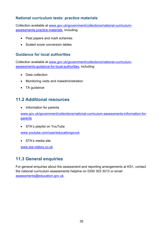#### **National curriculum tests: practice materials**

Collection available at [www.gov.uk/government/collections/national-curriculum](http://www.gov.uk/government/collections/national-curriculum-assessments-practice-materials)[assessments-practice-materials,](http://www.gov.uk/government/collections/national-curriculum-assessments-practice-materials) including:

- Past papers and mark schemes
- Scaled score conversion tables

#### **Guidance for local authorities**

Collection available at [www.gov.uk/government/collections/national-curriculum](http://www.gov.uk/government/collections/national-curriculum-assessments-guidance-for-local-authorities)[assessments-guidance-for-local-authorities,](http://www.gov.uk/government/collections/national-curriculum-assessments-guidance-for-local-authorities) including:

- Data collection
- Monitoring visits and maladministration
- TA guidance

#### <span id="page-34-0"></span>**11.2 Additional resources**

• Information for parents

[www.gov.uk/government/collections/national-curriculum-assessments-information-for](http://www.gov.uk/government/collections/national-curriculum-assessments-information-for-parents)**[parents](http://www.gov.uk/government/collections/national-curriculum-assessments-information-for-parents)** 

• STA's playlist on YouTube

[www.youtube.com/user/educationgovuk](http://www.youtube.com/user/educationgovuk)

• STA's media site

[www.sta-videos.co.uk](http://www.sta-videos.co.uk/)

## <span id="page-34-1"></span>**11.3 General enquiries**

For general enquiries about the assessment and reporting arrangements at KS1, contact the national curriculum assessments helpline on 0300 303 3013 or email [assessments@education.gov.uk.](mailto:assessments@education.gov.uk)